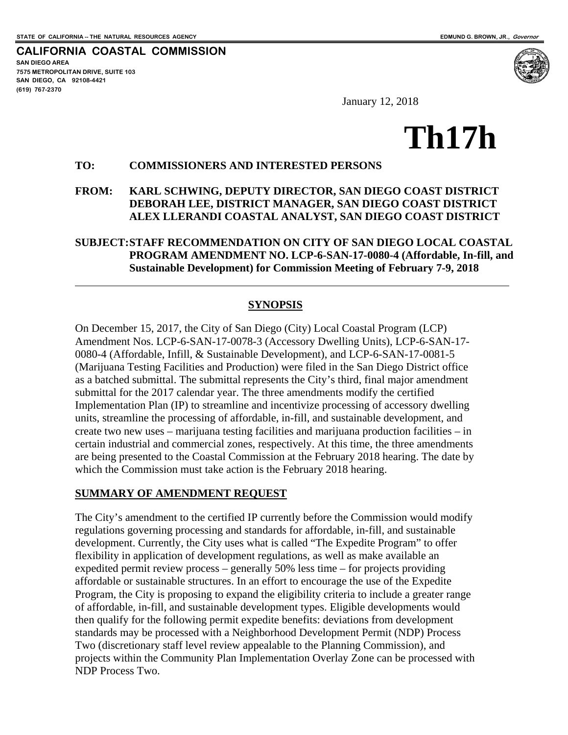**CALIFORNIA COASTAL COMMISSION SAN DIEGO AREA 7575 METROPOLITAN DRIVE, SUITE 103 SAN DIEGO, CA 92108-4421 (619) 767-2370**

 $\overline{a}$ 



January 12, 2018

# **Th17h**

#### **TO: COMMISSIONERS AND INTERESTED PERSONS**

## **FROM: KARL SCHWING, DEPUTY DIRECTOR, SAN DIEGO COAST DISTRICT DEBORAH LEE, DISTRICT MANAGER, SAN DIEGO COAST DISTRICT ALEX LLERANDI COASTAL ANALYST, SAN DIEGO COAST DISTRICT**

#### **SUBJECT: STAFF RECOMMENDATION ON CITY OF SAN DIEGO LOCAL COASTAL PROGRAM AMENDMENT NO. LCP-6-SAN-17-0080-4 (Affordable, In-fill, and Sustainable Development) for Commission Meeting of February 7-9, 2018**

#### **SYNOPSIS**

On December 15, 2017, the City of San Diego (City) Local Coastal Program (LCP) Amendment Nos. LCP-6-SAN-17-0078-3 (Accessory Dwelling Units), LCP-6-SAN-17- 0080-4 (Affordable, Infill, & Sustainable Development), and LCP-6-SAN-17-0081-5 (Marijuana Testing Facilities and Production) were filed in the San Diego District office as a batched submittal. The submittal represents the City's third, final major amendment submittal for the 2017 calendar year. The three amendments modify the certified Implementation Plan (IP) to streamline and incentivize processing of accessory dwelling units, streamline the processing of affordable, in-fill, and sustainable development, and create two new uses – marijuana testing facilities and marijuana production facilities – in certain industrial and commercial zones, respectively. At this time, the three amendments are being presented to the Coastal Commission at the February 2018 hearing. The date by which the Commission must take action is the February 2018 hearing.

#### **SUMMARY OF AMENDMENT REQUEST**

The City's amendment to the certified IP currently before the Commission would modify regulations governing processing and standards for affordable, in-fill, and sustainable development. Currently, the City uses what is called "The Expedite Program" to offer flexibility in application of development regulations, as well as make available an expedited permit review process – generally 50% less time – for projects providing affordable or sustainable structures. In an effort to encourage the use of the Expedite Program, the City is proposing to expand the eligibility criteria to include a greater range of affordable, in-fill, and sustainable development types. Eligible developments would then qualify for the following permit expedite benefits: deviations from development standards may be processed with a Neighborhood Development Permit (NDP) Process Two (discretionary staff level review appealable to the Planning Commission), and projects within the Community Plan Implementation Overlay Zone can be processed with NDP Process Two.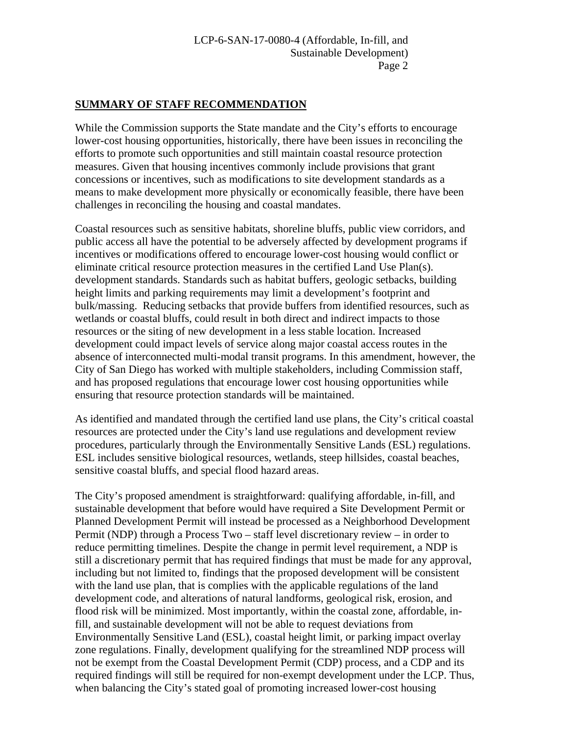#### **SUMMARY OF STAFF RECOMMENDATION**

While the Commission supports the State mandate and the City's efforts to encourage lower-cost housing opportunities, historically, there have been issues in reconciling the efforts to promote such opportunities and still maintain coastal resource protection measures. Given that housing incentives commonly include provisions that grant concessions or incentives, such as modifications to site development standards as a means to make development more physically or economically feasible, there have been challenges in reconciling the housing and coastal mandates.

Coastal resources such as sensitive habitats, shoreline bluffs, public view corridors, and public access all have the potential to be adversely affected by development programs if incentives or modifications offered to encourage lower-cost housing would conflict or eliminate critical resource protection measures in the certified Land Use Plan(s). development standards. Standards such as habitat buffers, geologic setbacks, building height limits and parking requirements may limit a development's footprint and bulk/massing. Reducing setbacks that provide buffers from identified resources, such as wetlands or coastal bluffs, could result in both direct and indirect impacts to those resources or the siting of new development in a less stable location. Increased development could impact levels of service along major coastal access routes in the absence of interconnected multi-modal transit programs. In this amendment, however, the City of San Diego has worked with multiple stakeholders, including Commission staff, and has proposed regulations that encourage lower cost housing opportunities while ensuring that resource protection standards will be maintained.

As identified and mandated through the certified land use plans, the City's critical coastal resources are protected under the City's land use regulations and development review procedures, particularly through the Environmentally Sensitive Lands (ESL) regulations. ESL includes sensitive biological resources, wetlands, steep hillsides, coastal beaches, sensitive coastal bluffs, and special flood hazard areas.

The City's proposed amendment is straightforward: qualifying affordable, in-fill, and sustainable development that before would have required a Site Development Permit or Planned Development Permit will instead be processed as a Neighborhood Development Permit (NDP) through a Process Two – staff level discretionary review – in order to reduce permitting timelines. Despite the change in permit level requirement, a NDP is still a discretionary permit that has required findings that must be made for any approval, including but not limited to, findings that the proposed development will be consistent with the land use plan, that is complies with the applicable regulations of the land development code, and alterations of natural landforms, geological risk, erosion, and flood risk will be minimized. Most importantly, within the coastal zone, affordable, infill, and sustainable development will not be able to request deviations from Environmentally Sensitive Land (ESL), coastal height limit, or parking impact overlay zone regulations. Finally, development qualifying for the streamlined NDP process will not be exempt from the Coastal Development Permit (CDP) process, and a CDP and its required findings will still be required for non-exempt development under the LCP. Thus, when balancing the City's stated goal of promoting increased lower-cost housing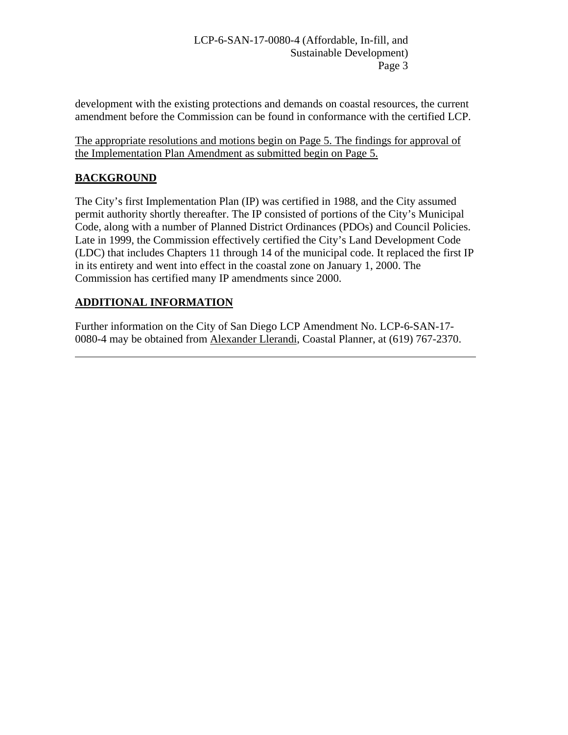development with the existing protections and demands on coastal resources, the current amendment before the Commission can be found in conformance with the certified LCP.

The appropriate resolutions and motions begin on Page 5. The findings for approval of the Implementation Plan Amendment as submitted begin on Page 5.

## **BACKGROUND**

 $\overline{a}$ 

The City's first Implementation Plan (IP) was certified in 1988, and the City assumed permit authority shortly thereafter. The IP consisted of portions of the City's Municipal Code, along with a number of Planned District Ordinances (PDOs) and Council Policies. Late in 1999, the Commission effectively certified the City's Land Development Code (LDC) that includes Chapters 11 through 14 of the municipal code. It replaced the first IP in its entirety and went into effect in the coastal zone on January 1, 2000. The Commission has certified many IP amendments since 2000.

## **ADDITIONAL INFORMATION**

Further information on the City of San Diego LCP Amendment No. LCP-6-SAN-17- 0080-4 may be obtained from Alexander Llerandi, Coastal Planner, at (619) 767-2370.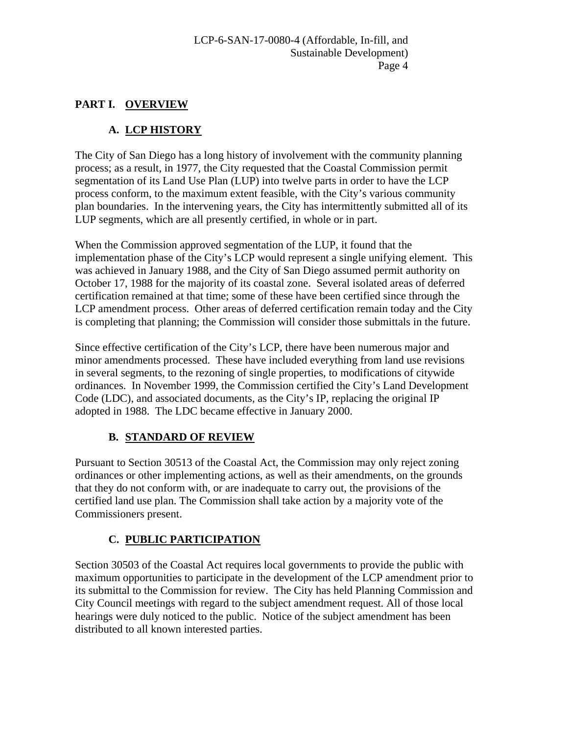## **PART I. OVERVIEW**

# **A. LCP HISTORY**

The City of San Diego has a long history of involvement with the community planning process; as a result, in 1977, the City requested that the Coastal Commission permit segmentation of its Land Use Plan (LUP) into twelve parts in order to have the LCP process conform, to the maximum extent feasible, with the City's various community plan boundaries. In the intervening years, the City has intermittently submitted all of its LUP segments, which are all presently certified, in whole or in part.

When the Commission approved segmentation of the LUP, it found that the implementation phase of the City's LCP would represent a single unifying element. This was achieved in January 1988, and the City of San Diego assumed permit authority on October 17, 1988 for the majority of its coastal zone. Several isolated areas of deferred certification remained at that time; some of these have been certified since through the LCP amendment process. Other areas of deferred certification remain today and the City is completing that planning; the Commission will consider those submittals in the future.

Since effective certification of the City's LCP, there have been numerous major and minor amendments processed. These have included everything from land use revisions in several segments, to the rezoning of single properties, to modifications of citywide ordinances. In November 1999, the Commission certified the City's Land Development Code (LDC), and associated documents, as the City's IP, replacing the original IP adopted in 1988. The LDC became effective in January 2000.

## **B. STANDARD OF REVIEW**

Pursuant to Section 30513 of the Coastal Act, the Commission may only reject zoning ordinances or other implementing actions, as well as their amendments, on the grounds that they do not conform with, or are inadequate to carry out, the provisions of the certified land use plan. The Commission shall take action by a majority vote of the Commissioners present.

# **C. PUBLIC PARTICIPATION**

Section 30503 of the Coastal Act requires local governments to provide the public with maximum opportunities to participate in the development of the LCP amendment prior to its submittal to the Commission for review. The City has held Planning Commission and City Council meetings with regard to the subject amendment request. All of those local hearings were duly noticed to the public. Notice of the subject amendment has been distributed to all known interested parties.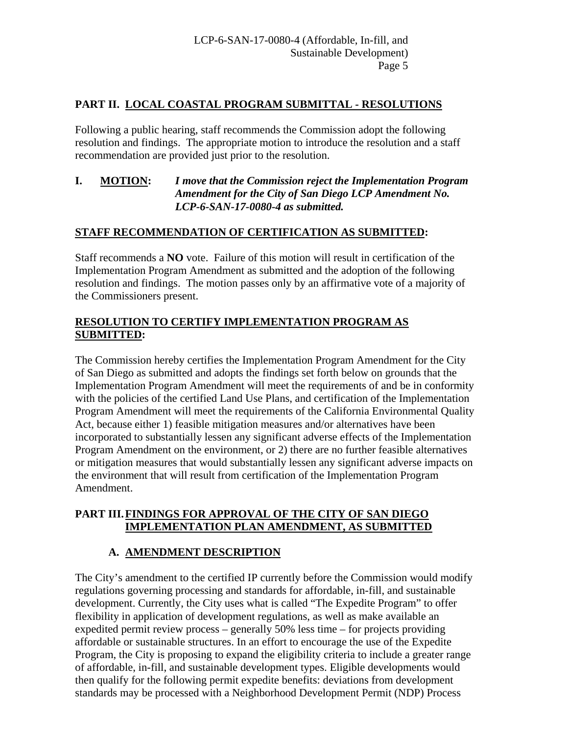## **PART II. LOCAL COASTAL PROGRAM SUBMITTAL - RESOLUTIONS**

Following a public hearing, staff recommends the Commission adopt the following resolution and findings. The appropriate motion to introduce the resolution and a staff recommendation are provided just prior to the resolution.

#### **I. MOTION:** *I move that the Commission reject the Implementation Program Amendment for the City of San Diego LCP Amendment No. LCP-6-SAN-17-0080-4 as submitted.*

## **STAFF RECOMMENDATION OF CERTIFICATION AS SUBMITTED:**

Staff recommends a **NO** vote. Failure of this motion will result in certification of the Implementation Program Amendment as submitted and the adoption of the following resolution and findings. The motion passes only by an affirmative vote of a majority of the Commissioners present.

## **RESOLUTION TO CERTIFY IMPLEMENTATION PROGRAM AS SUBMITTED:**

The Commission hereby certifies the Implementation Program Amendment for the City of San Diego as submitted and adopts the findings set forth below on grounds that the Implementation Program Amendment will meet the requirements of and be in conformity with the policies of the certified Land Use Plans, and certification of the Implementation Program Amendment will meet the requirements of the California Environmental Quality Act, because either 1) feasible mitigation measures and/or alternatives have been incorporated to substantially lessen any significant adverse effects of the Implementation Program Amendment on the environment, or 2) there are no further feasible alternatives or mitigation measures that would substantially lessen any significant adverse impacts on the environment that will result from certification of the Implementation Program Amendment.

## **PART III.FINDINGS FOR APPROVAL OF THE CITY OF SAN DIEGO IMPLEMENTATION PLAN AMENDMENT, AS SUBMITTED**

## **A. AMENDMENT DESCRIPTION**

The City's amendment to the certified IP currently before the Commission would modify regulations governing processing and standards for affordable, in-fill, and sustainable development. Currently, the City uses what is called "The Expedite Program" to offer flexibility in application of development regulations, as well as make available an expedited permit review process – generally 50% less time – for projects providing affordable or sustainable structures. In an effort to encourage the use of the Expedite Program, the City is proposing to expand the eligibility criteria to include a greater range of affordable, in-fill, and sustainable development types. Eligible developments would then qualify for the following permit expedite benefits: deviations from development standards may be processed with a Neighborhood Development Permit (NDP) Process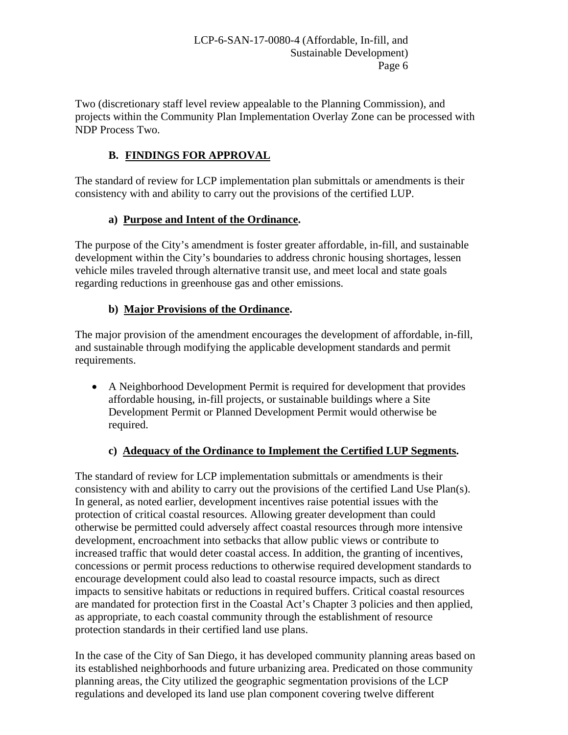Two (discretionary staff level review appealable to the Planning Commission), and projects within the Community Plan Implementation Overlay Zone can be processed with NDP Process Two.

## **B. FINDINGS FOR APPROVAL**

The standard of review for LCP implementation plan submittals or amendments is their consistency with and ability to carry out the provisions of the certified LUP.

## **a) Purpose and Intent of the Ordinance.**

The purpose of the City's amendment is foster greater affordable, in-fill, and sustainable development within the City's boundaries to address chronic housing shortages, lessen vehicle miles traveled through alternative transit use, and meet local and state goals regarding reductions in greenhouse gas and other emissions.

## **b) Major Provisions of the Ordinance.**

The major provision of the amendment encourages the development of affordable, in-fill, and sustainable through modifying the applicable development standards and permit requirements.

• A Neighborhood Development Permit is required for development that provides affordable housing, in-fill projects, or sustainable buildings where a Site Development Permit or Planned Development Permit would otherwise be required.

## **c) Adequacy of the Ordinance to Implement the Certified LUP Segments.**

The standard of review for LCP implementation submittals or amendments is their consistency with and ability to carry out the provisions of the certified Land Use Plan(s). In general, as noted earlier, development incentives raise potential issues with the protection of critical coastal resources. Allowing greater development than could otherwise be permitted could adversely affect coastal resources through more intensive development, encroachment into setbacks that allow public views or contribute to increased traffic that would deter coastal access. In addition, the granting of incentives, concessions or permit process reductions to otherwise required development standards to encourage development could also lead to coastal resource impacts, such as direct impacts to sensitive habitats or reductions in required buffers. Critical coastal resources are mandated for protection first in the Coastal Act's Chapter 3 policies and then applied, as appropriate, to each coastal community through the establishment of resource protection standards in their certified land use plans.

In the case of the City of San Diego, it has developed community planning areas based on its established neighborhoods and future urbanizing area. Predicated on those community planning areas, the City utilized the geographic segmentation provisions of the LCP regulations and developed its land use plan component covering twelve different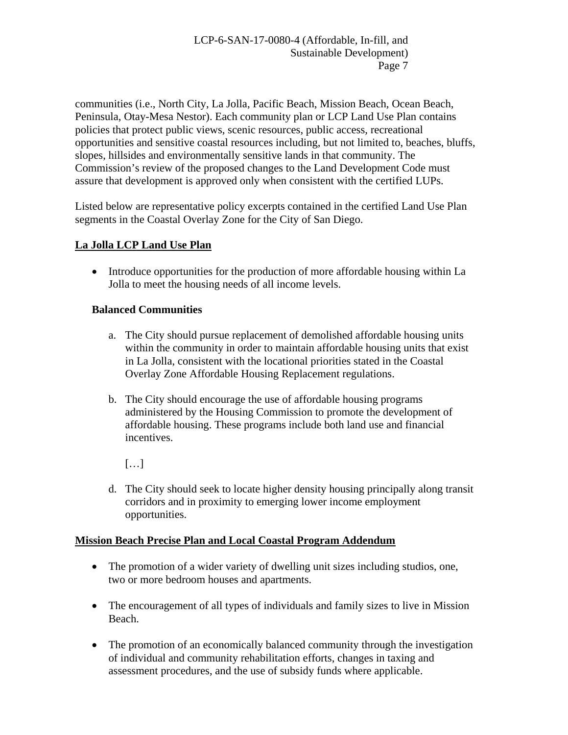communities (i.e., North City, La Jolla, Pacific Beach, Mission Beach, Ocean Beach, Peninsula, Otay-Mesa Nestor). Each community plan or LCP Land Use Plan contains policies that protect public views, scenic resources, public access, recreational opportunities and sensitive coastal resources including, but not limited to, beaches, bluffs, slopes, hillsides and environmentally sensitive lands in that community. The Commission's review of the proposed changes to the Land Development Code must assure that development is approved only when consistent with the certified LUPs.

Listed below are representative policy excerpts contained in the certified Land Use Plan segments in the Coastal Overlay Zone for the City of San Diego.

## **La Jolla LCP Land Use Plan**

• Introduce opportunities for the production of more affordable housing within La Jolla to meet the housing needs of all income levels.

## **Balanced Communities**

- a. The City should pursue replacement of demolished affordable housing units within the community in order to maintain affordable housing units that exist in La Jolla, consistent with the locational priorities stated in the Coastal Overlay Zone Affordable Housing Replacement regulations.
- b. The City should encourage the use of affordable housing programs administered by the Housing Commission to promote the development of affordable housing. These programs include both land use and financial incentives.
	- $[\ldots]$
- d. The City should seek to locate higher density housing principally along transit corridors and in proximity to emerging lower income employment opportunities.

## **Mission Beach Precise Plan and Local Coastal Program Addendum**

- The promotion of a wider variety of dwelling unit sizes including studios, one, two or more bedroom houses and apartments.
- The encouragement of all types of individuals and family sizes to live in Mission Beach.
- The promotion of an economically balanced community through the investigation of individual and community rehabilitation efforts, changes in taxing and assessment procedures, and the use of subsidy funds where applicable.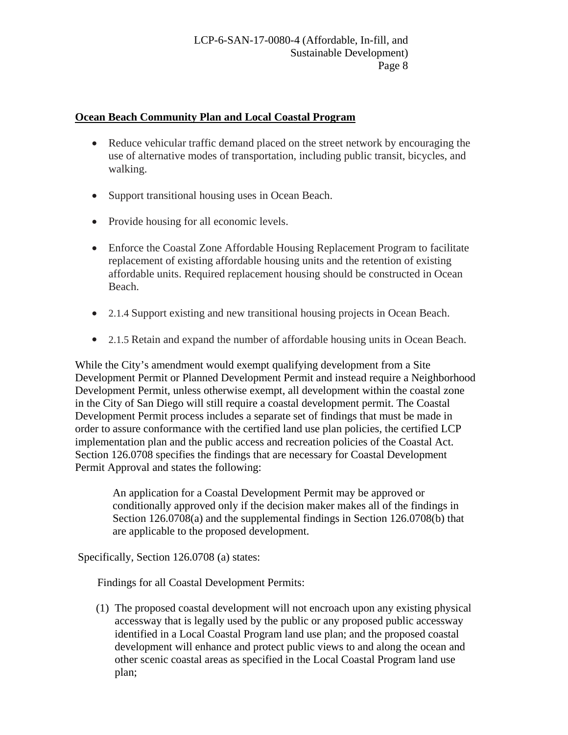#### **Ocean Beach Community Plan and Local Coastal Program**

- Reduce vehicular traffic demand placed on the street network by encouraging the use of alternative modes of transportation, including public transit, bicycles, and walking.
- Support transitional housing uses in Ocean Beach.
- Provide housing for all economic levels.
- Enforce the Coastal Zone Affordable Housing Replacement Program to facilitate replacement of existing affordable housing units and the retention of existing affordable units. Required replacement housing should be constructed in Ocean Beach.
- 2.1.4 Support existing and new transitional housing projects in Ocean Beach.
- 2.1.5 Retain and expand the number of affordable housing units in Ocean Beach.

While the City's amendment would exempt qualifying development from a Site Development Permit or Planned Development Permit and instead require a Neighborhood Development Permit, unless otherwise exempt, all development within the coastal zone in the City of San Diego will still require a coastal development permit. The Coastal Development Permit process includes a separate set of findings that must be made in order to assure conformance with the certified land use plan policies, the certified LCP implementation plan and the public access and recreation policies of the Coastal Act. Section 126.0708 specifies the findings that are necessary for Coastal Development Permit Approval and states the following:

An application for a Coastal Development Permit may be approved or conditionally approved only if the decision maker makes all of the findings in Section 126.0708(a) and the supplemental findings in Section 126.0708(b) that are applicable to the proposed development.

Specifically, Section 126.0708 (a) states:

Findings for all Coastal Development Permits:

(1) The proposed coastal development will not encroach upon any existing physical accessway that is legally used by the public or any proposed public accessway identified in a Local Coastal Program land use plan; and the proposed coastal development will enhance and protect public views to and along the ocean and other scenic coastal areas as specified in the Local Coastal Program land use plan;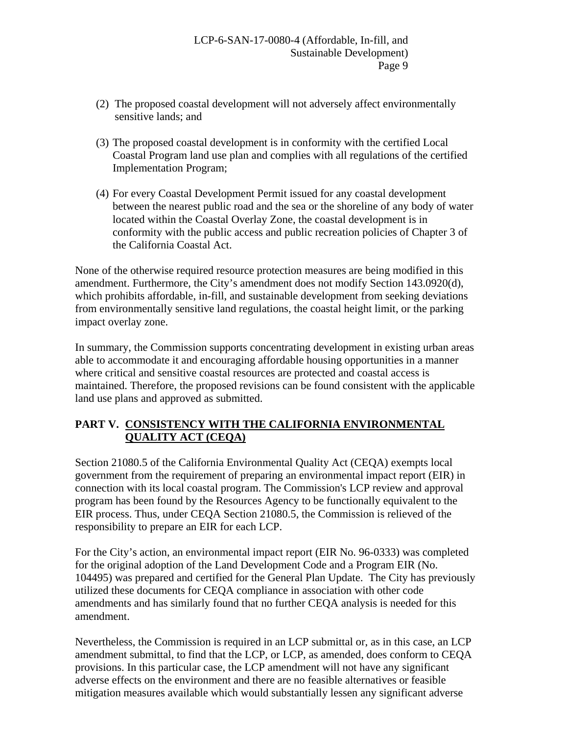- (2) The proposed coastal development will not adversely affect environmentally sensitive lands; and
- (3) The proposed coastal development is in conformity with the certified Local Coastal Program land use plan and complies with all regulations of the certified Implementation Program;
- (4) For every Coastal Development Permit issued for any coastal development between the nearest public road and the sea or the shoreline of any body of water located within the Coastal Overlay Zone, the coastal development is in conformity with the public access and public recreation policies of Chapter 3 of the California Coastal Act.

None of the otherwise required resource protection measures are being modified in this amendment. Furthermore, the City's amendment does not modify Section 143.0920(d), which prohibits affordable, in-fill, and sustainable development from seeking deviations from environmentally sensitive land regulations, the coastal height limit, or the parking impact overlay zone.

In summary, the Commission supports concentrating development in existing urban areas able to accommodate it and encouraging affordable housing opportunities in a manner where critical and sensitive coastal resources are protected and coastal access is maintained. Therefore, the proposed revisions can be found consistent with the applicable land use plans and approved as submitted.

## **PART V. CONSISTENCY WITH THE CALIFORNIA ENVIRONMENTAL QUALITY ACT (CEQA)**

Section 21080.5 of the California Environmental Quality Act (CEQA) exempts local government from the requirement of preparing an environmental impact report (EIR) in connection with its local coastal program. The Commission's LCP review and approval program has been found by the Resources Agency to be functionally equivalent to the EIR process. Thus, under CEQA Section 21080.5, the Commission is relieved of the responsibility to prepare an EIR for each LCP.

For the City's action, an environmental impact report (EIR No. 96-0333) was completed for the original adoption of the Land Development Code and a Program EIR (No. 104495) was prepared and certified for the General Plan Update. The City has previously utilized these documents for CEQA compliance in association with other code amendments and has similarly found that no further CEQA analysis is needed for this amendment.

Nevertheless, the Commission is required in an LCP submittal or, as in this case, an LCP amendment submittal, to find that the LCP, or LCP, as amended, does conform to CEQA provisions. In this particular case, the LCP amendment will not have any significant adverse effects on the environment and there are no feasible alternatives or feasible mitigation measures available which would substantially lessen any significant adverse